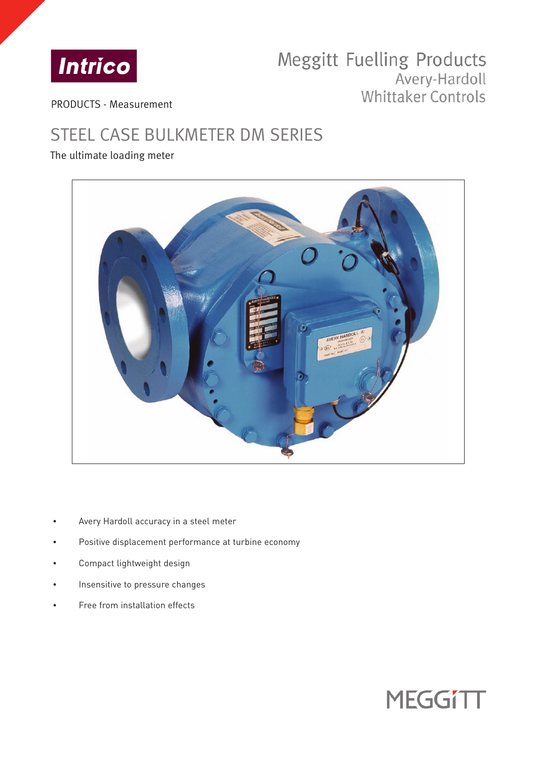

# Meggitt Fuelling Products Avery-Hardoll Whittaker Controls

PRODUCTS - Measurement

# STEEL CASE BULKMETER DM SERIES

## The ultimate loading meter



- Avery Hardoll accuracy in a steel meter
- Positive displacement performance at turbine economy
- Compact lightweight design
- Insensitive to pressure changes
- Free from installation effects

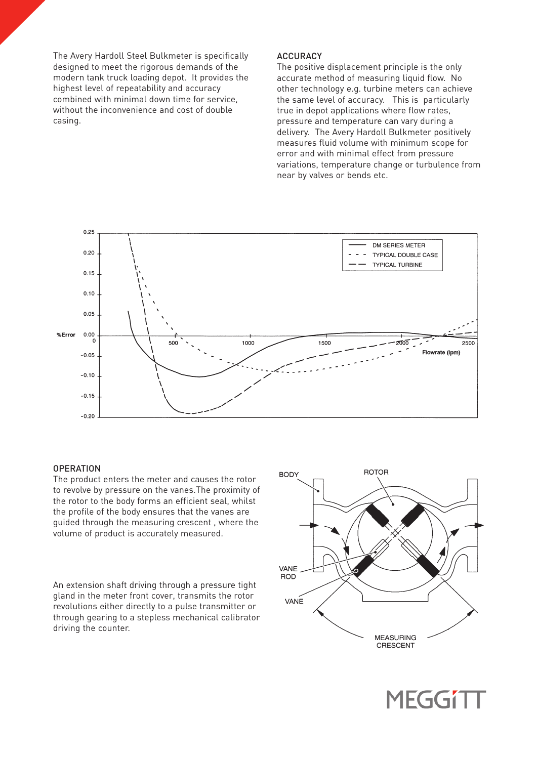The Avery Hardoll Steel Bulkmeter is specifically designed to meet the rigorous demands of the modern tank truck loading depot. It provides the highest level of repeatability and accuracy combined with minimal down time for service, without the inconvenience and cost of double casing.

#### **ACCURACY**

The positive displacement principle is the only accurate method of measuring liquid flow. No other technology e.g. turbine meters can achieve the same level of accuracy. This is particularly true in depot applications where flow rates, pressure and temperature can vary during a delivery. The Avery Hardoll Bulkmeter positively measures fluid volume with minimum scope for error and with minimal effect from pressure variations, temperature change or turbulence from near by valves or bends etc.



#### **OPERATION**

The product enters the meter and causes the rotor to revolve by pressure on the vanes.The proximity of the rotor to the body forms an efficient seal, whilst the profile of the body ensures that the vanes are guided through the measuring crescent , where the volume of product is accurately measured.

An extension shaft driving through a pressure tight gland in the meter front cover, transmits the rotor revolutions either directly to a pulse transmitter or through gearing to a stepless mechanical calibrator driving the counter.



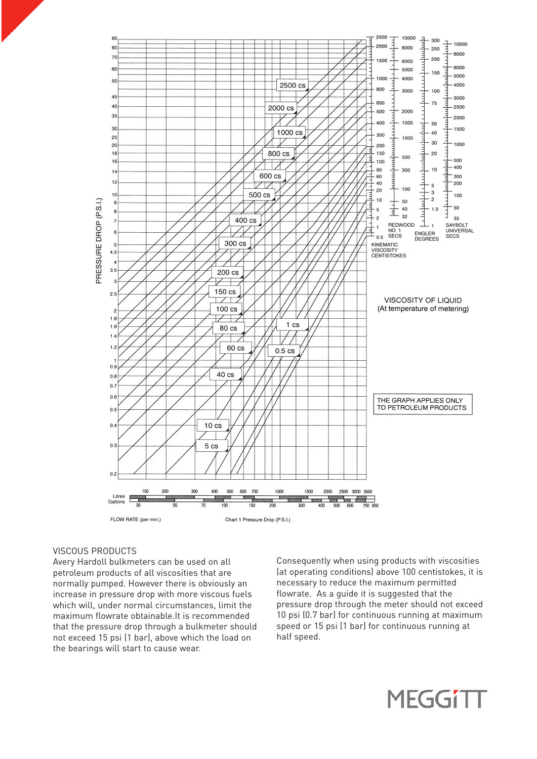

#### VISCOUS PRODUCTS

Avery Hardoll bulkmeters can be used on all petroleum products of all viscosities that are normally pumped. However there is obviously an increase in pressure drop with more viscous fuels which will, under normal circumstances, limit the maximum flowrate obtainable.It is recommended that the pressure drop through a bulkmeter should not exceed 15 psi (1 bar), above which the load on the bearings will start to cause wear.

Consequently when using products with viscosities (at operating conditions) above 100 centistokes, it is necessary to reduce the maximum permitted flowrate. As a guide it is suggested that the pressure drop through the meter should not exceed 10 psi (0.7 bar) for continuous running at maximum speed or 15 psi (1 bar) for continuous running at half speed.